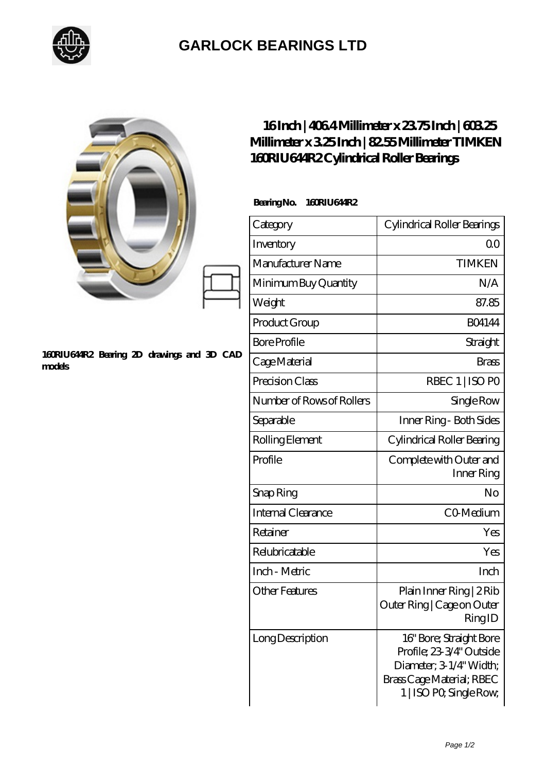

## **[GARLOCK BEARINGS LTD](https://m.letterstopriests.com)**

|                                                      | Millimeter x 325Inch   8255Millimeter TIMKEN<br>160RIU644R2Cylindrical Roller Bearings | 16Inch   4064 Millimeter x 2375 Inch   60325                                                                                           |
|------------------------------------------------------|----------------------------------------------------------------------------------------|----------------------------------------------------------------------------------------------------------------------------------------|
|                                                      | BearingNo.<br>160RIU644R2                                                              |                                                                                                                                        |
|                                                      | Category                                                                               | Cylindrical Roller Bearings                                                                                                            |
|                                                      | Inventory                                                                              | 0 <sup>0</sup>                                                                                                                         |
|                                                      | Manufacturer Name                                                                      | <b>TIMKEN</b>                                                                                                                          |
| 160RIU644R2 Bearing 2D drawings and 3D CAD<br>models | Minimum Buy Quantity                                                                   | N/A                                                                                                                                    |
|                                                      | Weight                                                                                 | 87.85                                                                                                                                  |
|                                                      | Product Group                                                                          | <b>BO4144</b>                                                                                                                          |
|                                                      | <b>Bore Profile</b>                                                                    | Straight                                                                                                                               |
|                                                      | Cage Material                                                                          | <b>Brass</b>                                                                                                                           |
|                                                      | Precision Class                                                                        | RBEC 1   ISO PO                                                                                                                        |
|                                                      | Number of Rows of Rollers                                                              | Single Row                                                                                                                             |
|                                                      | Separable                                                                              | Inner Ring - Both Sides                                                                                                                |
|                                                      | Rolling Element                                                                        | Cylindrical Roller Bearing                                                                                                             |
|                                                      | Profile                                                                                | Complete with Outer and<br>Inner Ring                                                                                                  |
|                                                      | Snap Ring                                                                              | No                                                                                                                                     |
|                                                      | Internal Clearance                                                                     | CO Medium                                                                                                                              |
|                                                      | Retainer                                                                               | Yes                                                                                                                                    |
|                                                      | Relubricatable                                                                         | Yes                                                                                                                                    |
|                                                      | Inch - Metric                                                                          | Inch                                                                                                                                   |
|                                                      | <b>Other Features</b>                                                                  | Plain Inner Ring   2 Rib<br>Outer Ring   Cage on Outer<br>RingID                                                                       |
|                                                      | Long Description                                                                       | 16" Bore; Straight Bore<br>Profile; 23-3/4" Outside<br>Diameter; 3 1/4" Width;<br>Brass Cage Material; RBEC<br>1   ISO PO, Single Row, |